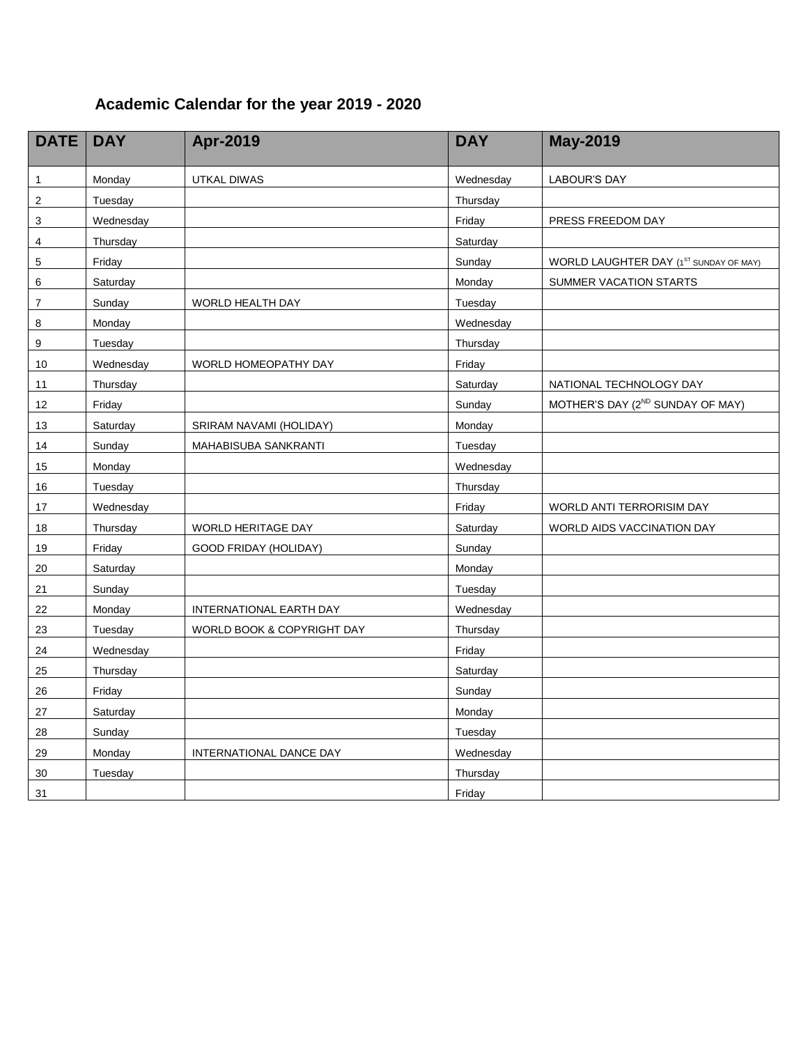## **Academic Calendar for the year 2019 - 2020**

| <b>DATE</b>               | <b>DAY</b> | Apr-2019                   | <b>DAY</b> | <b>May-2019</b>                              |
|---------------------------|------------|----------------------------|------------|----------------------------------------------|
| 1                         | Monday     | UTKAL DIWAS                | Wednesday  | <b>LABOUR'S DAY</b>                          |
| $\overline{2}$            | Tuesday    |                            | Thursday   |                                              |
| $\ensuremath{\mathsf{3}}$ | Wednesday  |                            | Friday     | PRESS FREEDOM DAY                            |
| 4                         | Thursday   |                            | Saturday   |                                              |
| $\mathbf 5$               | Friday     |                            | Sunday     | WORLD LAUGHTER DAY (1ST SUNDAY OF MAY)       |
| 6                         | Saturday   |                            | Monday     | SUMMER VACATION STARTS                       |
| $\overline{7}$            | Sunday     | <b>WORLD HEALTH DAY</b>    | Tuesday    |                                              |
| 8                         | Monday     |                            | Wednesday  |                                              |
| 9                         | Tuesday    |                            | Thursday   |                                              |
| 10                        | Wednesday  | WORLD HOMEOPATHY DAY       | Friday     |                                              |
| 11                        | Thursday   |                            | Saturday   | NATIONAL TECHNOLOGY DAY                      |
| 12                        | Friday     |                            | Sunday     | MOTHER'S DAY (2 <sup>ND</sup> SUNDAY OF MAY) |
| 13                        | Saturday   | SRIRAM NAVAMI (HOLIDAY)    | Monday     |                                              |
| 14                        | Sunday     | MAHABISUBA SANKRANTI       | Tuesday    |                                              |
| 15                        | Monday     |                            | Wednesday  |                                              |
| 16                        | Tuesday    |                            | Thursday   |                                              |
| 17                        | Wednesday  |                            | Friday     | WORLD ANTI TERRORISIM DAY                    |
| 18                        | Thursday   | WORLD HERITAGE DAY         | Saturday   | WORLD AIDS VACCINATION DAY                   |
| 19                        | Friday     | GOOD FRIDAY (HOLIDAY)      | Sunday     |                                              |
| 20                        | Saturday   |                            | Monday     |                                              |
| 21                        | Sunday     |                            | Tuesday    |                                              |
| 22                        | Monday     | INTERNATIONAL EARTH DAY    | Wednesday  |                                              |
| 23                        | Tuesday    | WORLD BOOK & COPYRIGHT DAY | Thursday   |                                              |
| 24                        | Wednesday  |                            | Friday     |                                              |
| 25                        | Thursday   |                            | Saturday   |                                              |
| 26                        | Friday     |                            | Sunday     |                                              |
| 27                        | Saturday   |                            | Monday     |                                              |
| 28                        | Sunday     |                            | Tuesday    |                                              |
| 29                        | Monday     | INTERNATIONAL DANCE DAY    | Wednesday  |                                              |
| 30                        | Tuesday    |                            | Thursday   |                                              |
| 31                        |            |                            | Friday     |                                              |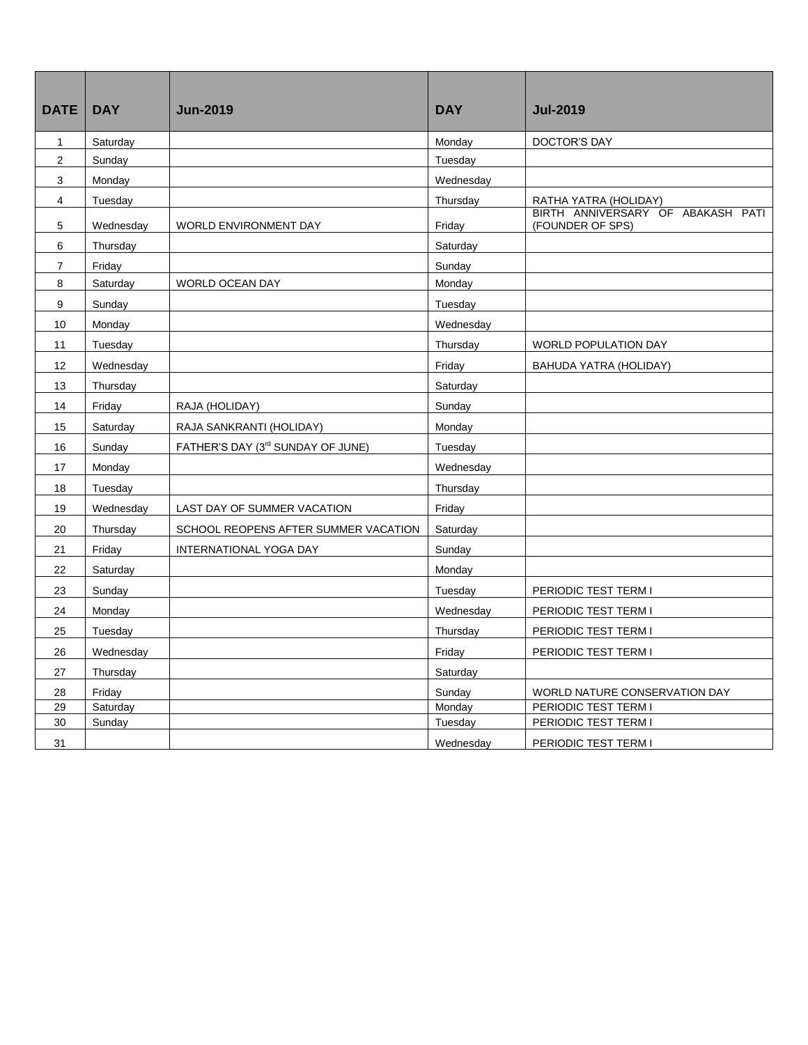| <b>DATE</b>             | <b>DAY</b> | <b>Jun-2019</b>                      | <b>DAY</b> | <b>Jul-2019</b>                                       |
|-------------------------|------------|--------------------------------------|------------|-------------------------------------------------------|
| $\mathbf{1}$            | Saturday   |                                      | Monday     | <b>DOCTOR'S DAY</b>                                   |
| $\overline{\mathbf{c}}$ | Sunday     |                                      | Tuesday    |                                                       |
| 3                       | Monday     |                                      | Wednesday  |                                                       |
| 4                       | Tuesday    |                                      | Thursday   | RATHA YATRA (HOLIDAY)                                 |
| 5                       | Wednesday  | WORLD ENVIRONMENT DAY                | Friday     | BIRTH ANNIVERSARY OF ABAKASH PATI<br>(FOUNDER OF SPS) |
| 6                       | Thursday   |                                      | Saturday   |                                                       |
| 7                       | Friday     |                                      | Sunday     |                                                       |
| 8                       | Saturday   | WORLD OCEAN DAY                      | Monday     |                                                       |
| 9                       | Sunday     |                                      | Tuesday    |                                                       |
| 10                      | Monday     |                                      | Wednesday  |                                                       |
| 11                      | Tuesday    |                                      | Thursday   | <b>WORLD POPULATION DAY</b>                           |
| 12                      | Wednesday  |                                      | Friday     | BAHUDA YATRA (HOLIDAY)                                |
| 13                      | Thursday   |                                      | Saturday   |                                                       |
| 14                      | Friday     | RAJA (HOLIDAY)                       | Sunday     |                                                       |
| 15                      | Saturday   | RAJA SANKRANTI (HOLIDAY)             | Monday     |                                                       |
| 16                      | Sunday     | FATHER'S DAY (3rd SUNDAY OF JUNE)    | Tuesday    |                                                       |
| 17                      | Monday     |                                      | Wednesday  |                                                       |
| 18                      | Tuesday    |                                      | Thursday   |                                                       |
| 19                      | Wednesday  | LAST DAY OF SUMMER VACATION          | Friday     |                                                       |
| 20                      | Thursday   | SCHOOL REOPENS AFTER SUMMER VACATION | Saturday   |                                                       |
| 21                      | Friday     | INTERNATIONAL YOGA DAY               | Sunday     |                                                       |
| 22                      | Saturday   |                                      | Monday     |                                                       |
| 23                      | Sunday     |                                      | Tuesday    | PERIODIC TEST TERM I                                  |
| 24                      | Monday     |                                      | Wednesday  | PERIODIC TEST TERM I                                  |
| 25                      | Tuesday    |                                      | Thursday   | PERIODIC TEST TERM I                                  |
| 26                      | Wednesday  |                                      | Friday     | PERIODIC TEST TERM I                                  |
| 27                      | Thursday   |                                      | Saturday   |                                                       |
| 28                      | Friday     |                                      | Sunday     | WORLD NATURE CONSERVATION DAY                         |
| 29                      | Saturday   |                                      | Monday     | PERIODIC TEST TERM I                                  |
| 30                      | Sunday     |                                      | Tuesday    | PERIODIC TEST TERM I                                  |
| 31                      |            |                                      | Wednesday  | PERIODIC TEST TERM I                                  |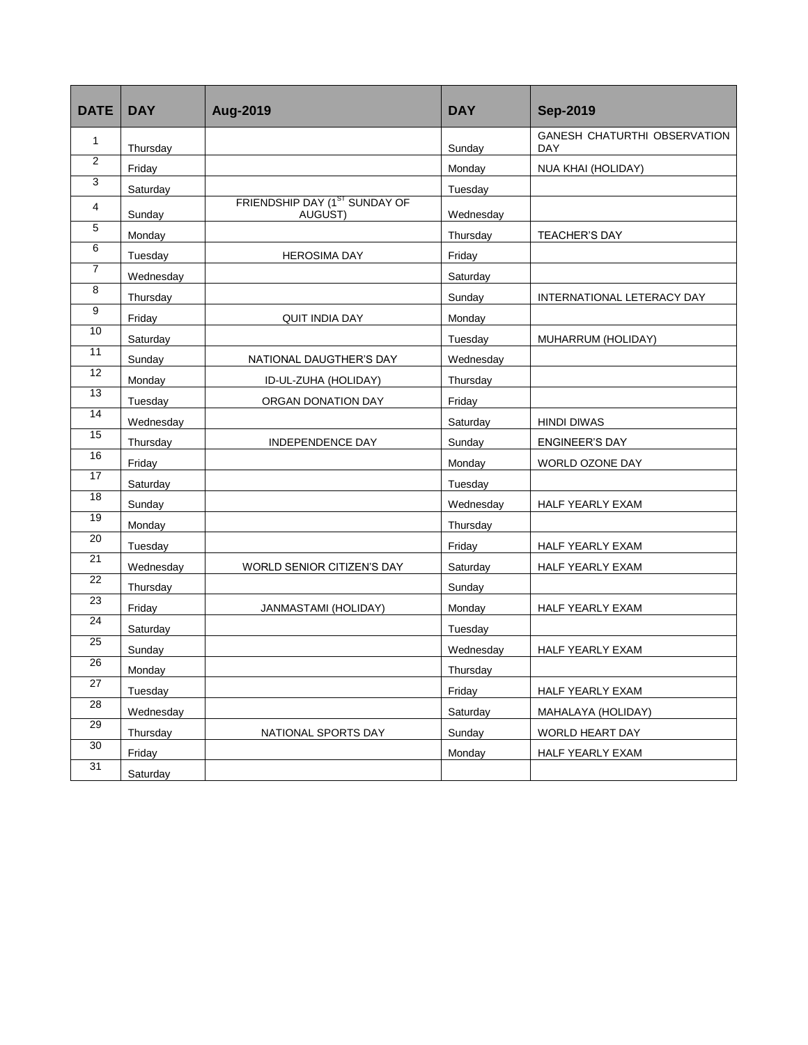| <b>DATE</b>     | <b>DAY</b> | Aug-2019                                             | <b>DAY</b> | <b>Sep-2019</b>                                   |
|-----------------|------------|------------------------------------------------------|------------|---------------------------------------------------|
| $\mathbf{1}$    | Thursday   |                                                      | Sunday     | <b>GANESH CHATURTHI OBSERVATION</b><br><b>DAY</b> |
| $\overline{2}$  | Friday     |                                                      | Monday     | NUA KHAI (HOLIDAY)                                |
| 3               | Saturday   |                                                      | Tuesday    |                                                   |
| 4               | Sunday     | FRIENDSHIP DAY (1 <sup>ST</sup> SUNDAY OF<br>AUGUST) | Wednesday  |                                                   |
| 5               | Monday     |                                                      | Thursday   | <b>TEACHER'S DAY</b>                              |
| 6               | Tuesday    | <b>HEROSIMA DAY</b>                                  | Friday     |                                                   |
| $\overline{7}$  | Wednesday  |                                                      | Saturday   |                                                   |
| 8               | Thursday   |                                                      | Sunday     | INTERNATIONAL LETERACY DAY                        |
| 9               | Friday     | <b>QUIT INDIA DAY</b>                                | Monday     |                                                   |
| 10              | Saturday   |                                                      | Tuesday    | MUHARRUM (HOLIDAY)                                |
| 11              | Sunday     | NATIONAL DAUGTHER'S DAY                              | Wednesday  |                                                   |
| 12              | Monday     | ID-UL-ZUHA (HOLIDAY)                                 | Thursday   |                                                   |
| $\overline{13}$ | Tuesday    | ORGAN DONATION DAY                                   | Friday     |                                                   |
| 14              | Wednesday  |                                                      | Saturday   | <b>HINDI DIWAS</b>                                |
| 15              | Thursday   | INDEPENDENCE DAY                                     | Sunday     | <b>ENGINEER'S DAY</b>                             |
| 16              | Friday     |                                                      | Monday     | WORLD OZONE DAY                                   |
| 17              | Saturday   |                                                      | Tuesday    |                                                   |
| 18              | Sunday     |                                                      | Wednesday  | HALF YEARLY EXAM                                  |
| 19              | Monday     |                                                      | Thursday   |                                                   |
| 20              | Tuesday    |                                                      | Friday     | HALF YEARLY EXAM                                  |
| 21              | Wednesday  | WORLD SENIOR CITIZEN'S DAY                           | Saturday   | HALF YEARLY EXAM                                  |
| $\overline{22}$ | Thursday   |                                                      | Sunday     |                                                   |
| 23              | Friday     | JANMASTAMI (HOLIDAY)                                 | Monday     | HALF YEARLY EXAM                                  |
| 24              | Saturday   |                                                      | Tuesday    |                                                   |
| 25              | Sunday     |                                                      | Wednesday  | HALF YEARLY EXAM                                  |
| 26              | Monday     |                                                      | Thursday   |                                                   |
| 27              | Tuesday    |                                                      | Friday     | HALF YEARLY EXAM                                  |
| 28              | Wednesday  |                                                      | Saturday   | MAHALAYA (HOLIDAY)                                |
| 29              | Thursday   | NATIONAL SPORTS DAY                                  | Sunday     | WORLD HEART DAY                                   |
| 30              | Friday     |                                                      | Monday     | HALF YEARLY EXAM                                  |
| 31              | Saturday   |                                                      |            |                                                   |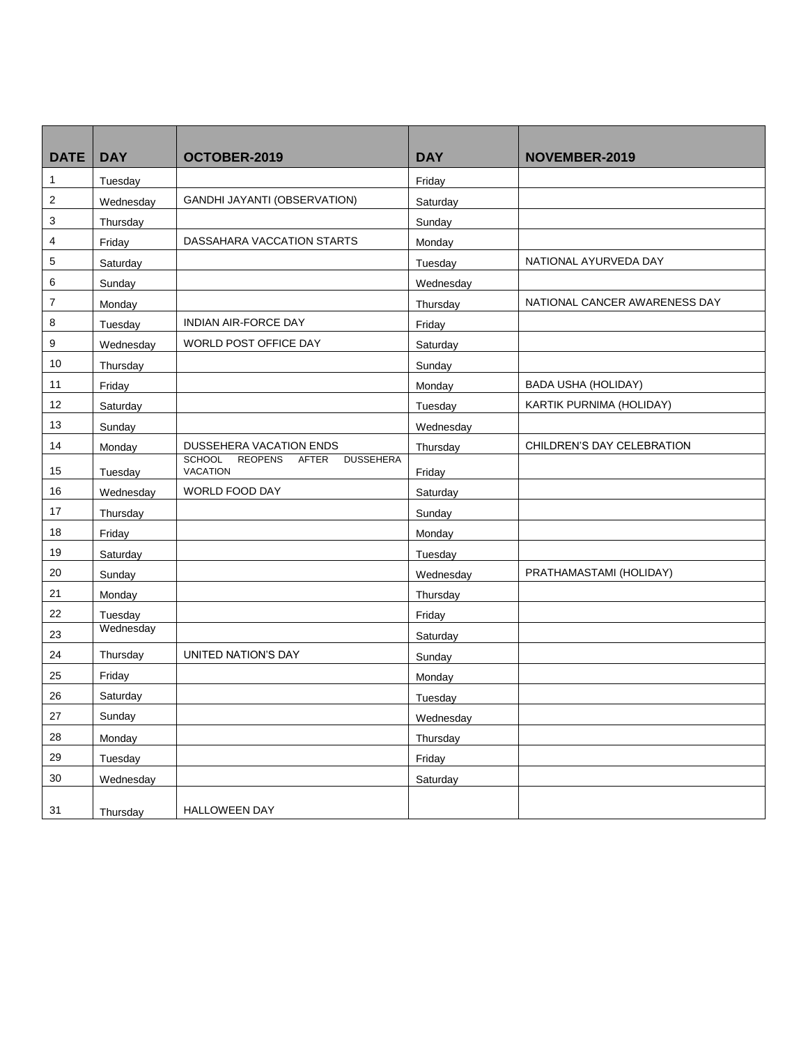| <b>DATE</b>    | <b>DAY</b> | OCTOBER-2019                                                                    | <b>DAY</b> | NOVEMBER-2019                 |
|----------------|------------|---------------------------------------------------------------------------------|------------|-------------------------------|
| 1              | Tuesday    |                                                                                 | Friday     |                               |
| $\sqrt{2}$     | Wednesday  | <b>GANDHI JAYANTI (OBSERVATION)</b>                                             | Saturday   |                               |
| 3              | Thursday   |                                                                                 | Sunday     |                               |
| 4              | Friday     | DASSAHARA VACCATION STARTS                                                      | Monday     |                               |
| 5              | Saturday   |                                                                                 | Tuesday    | NATIONAL AYURVEDA DAY         |
| 6              | Sunday     |                                                                                 | Wednesday  |                               |
| $\overline{7}$ | Monday     |                                                                                 | Thursday   | NATIONAL CANCER AWARENESS DAY |
| 8              | Tuesday    | INDIAN AIR-FORCE DAY                                                            | Friday     |                               |
| 9              | Wednesday  | WORLD POST OFFICE DAY                                                           | Saturday   |                               |
| 10             | Thursday   |                                                                                 | Sunday     |                               |
| 11             | Friday     |                                                                                 | Monday     | <b>BADA USHA (HOLIDAY)</b>    |
| 12             | Saturday   |                                                                                 | Tuesday    | KARTIK PURNIMA (HOLIDAY)      |
| 13             | Sunday     |                                                                                 | Wednesday  |                               |
| 14             | Monday     | DUSSEHERA VACATION ENDS                                                         | Thursday   | CHILDREN'S DAY CELEBRATION    |
| 15             | Tuesday    | <b>SCHOOL</b><br><b>REOPENS</b><br>AFTER<br><b>DUSSEHERA</b><br><b>VACATION</b> | Friday     |                               |
| 16             | Wednesday  | WORLD FOOD DAY                                                                  | Saturday   |                               |
| 17             | Thursday   |                                                                                 | Sunday     |                               |
| 18             | Friday     |                                                                                 | Monday     |                               |
| 19             | Saturday   |                                                                                 | Tuesday    |                               |
| 20             | Sunday     |                                                                                 | Wednesday  | PRATHAMASTAMI (HOLIDAY)       |
| 21             | Monday     |                                                                                 | Thursday   |                               |
| 22             | Tuesday    |                                                                                 | Friday     |                               |
| 23             | Wednesday  |                                                                                 | Saturday   |                               |
| 24             | Thursday   | UNITED NATION'S DAY                                                             | Sunday     |                               |
| 25             | Friday     |                                                                                 | Monday     |                               |
| 26             | Saturday   |                                                                                 | Tuesday    |                               |
| $27\,$         | Sunday     |                                                                                 | Wednesday  |                               |
| 28             | Monday     |                                                                                 | Thursday   |                               |
| 29             | Tuesday    |                                                                                 | Friday     |                               |
| $30\,$         | Wednesday  |                                                                                 | Saturday   |                               |
| 31             | Thursday   | <b>HALLOWEEN DAY</b>                                                            |            |                               |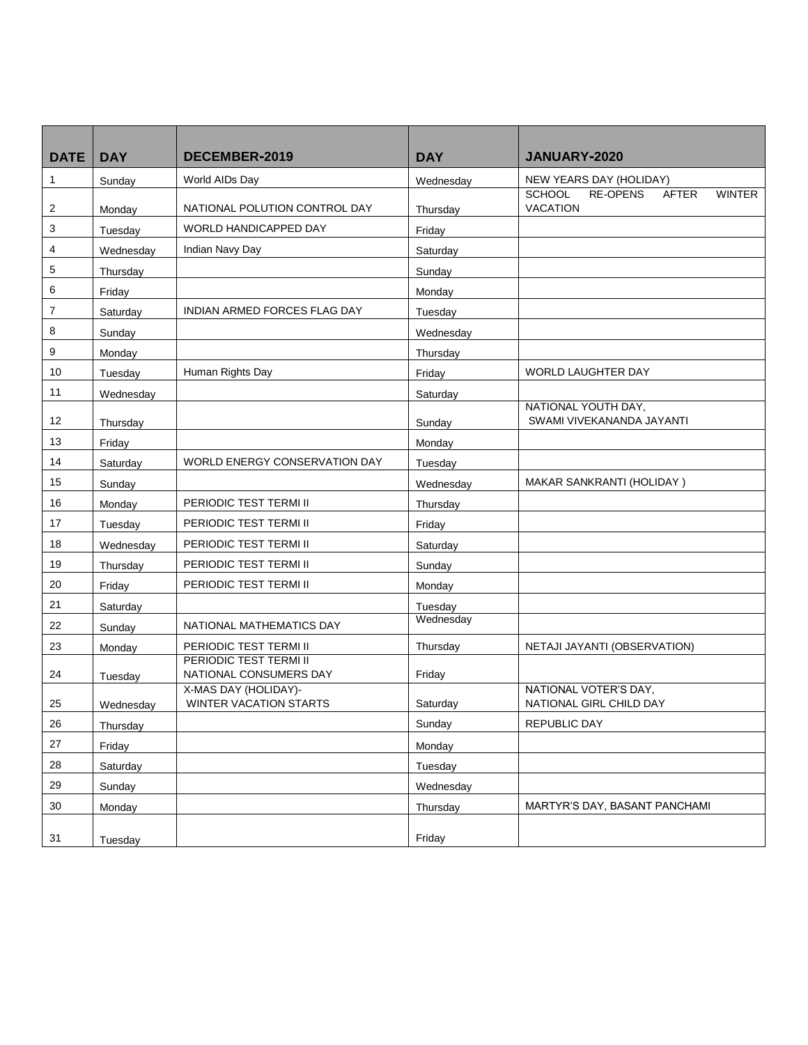| <b>DATE</b>    | <b>DAY</b> | DECEMBER-2019                                         | <b>DAY</b> | <b>JANUARY-2020</b>                                                                  |
|----------------|------------|-------------------------------------------------------|------------|--------------------------------------------------------------------------------------|
| $\mathbf{1}$   | Sunday     | World AIDs Day                                        | Wednesday  | NEW YEARS DAY (HOLIDAY)                                                              |
| $\overline{2}$ | Monday     | NATIONAL POLUTION CONTROL DAY                         | Thursday   | <b>RE-OPENS</b><br><b>SCHOOL</b><br><b>AFTER</b><br><b>WINTER</b><br><b>VACATION</b> |
| 3              | Tuesday    | WORLD HANDICAPPED DAY                                 | Friday     |                                                                                      |
| 4              | Wednesday  | Indian Navy Day                                       | Saturday   |                                                                                      |
| 5              | Thursday   |                                                       | Sunday     |                                                                                      |
| 6              | Friday     |                                                       | Monday     |                                                                                      |
| $\overline{7}$ | Saturday   | <b>INDIAN ARMED FORCES FLAG DAY</b>                   | Tuesday    |                                                                                      |
| 8              | Sunday     |                                                       | Wednesday  |                                                                                      |
| 9              | Monday     |                                                       | Thursday   |                                                                                      |
| 10             | Tuesday    | Human Rights Day                                      | Friday     | <b>WORLD LAUGHTER DAY</b>                                                            |
| 11             | Wednesday  |                                                       | Saturday   |                                                                                      |
| 12             | Thursday   |                                                       | Sunday     | NATIONAL YOUTH DAY,<br>SWAMI VIVEKANANDA JAYANTI                                     |
| 13             | Friday     |                                                       | Monday     |                                                                                      |
| 14             | Saturday   | WORLD ENERGY CONSERVATION DAY                         | Tuesday    |                                                                                      |
| 15             | Sunday     |                                                       | Wednesday  | MAKAR SANKRANTI (HOLIDAY)                                                            |
| 16             | Monday     | PERIODIC TEST TERMI II                                | Thursday   |                                                                                      |
| 17             | Tuesday    | PERIODIC TEST TERMI II                                | Friday     |                                                                                      |
| 18             | Wednesday  | PERIODIC TEST TERMI II                                | Saturday   |                                                                                      |
| 19             | Thursday   | PERIODIC TEST TERMI II                                | Sunday     |                                                                                      |
| 20             | Friday     | PERIODIC TEST TERMI II                                | Monday     |                                                                                      |
| 21             | Saturday   |                                                       | Tuesday    |                                                                                      |
| 22             | Sunday     | NATIONAL MATHEMATICS DAY                              | Wednesday  |                                                                                      |
| 23             | Monday     | PERIODIC TEST TERMI II                                | Thursday   | NETAJI JAYANTI (OBSERVATION)                                                         |
| 24             | Tuesday    | PERIODIC TEST TERMI II<br>NATIONAL CONSUMERS DAY      | Friday     |                                                                                      |
| 25             | Wednesday  | X-MAS DAY (HOLIDAY)-<br><b>WINTER VACATION STARTS</b> | Saturday   | NATIONAL VOTER'S DAY,<br>NATIONAL GIRL CHILD DAY                                     |
| 26             | Thursday   |                                                       | Sunday     | <b>REPUBLIC DAY</b>                                                                  |
| 27             | Friday     |                                                       | Monday     |                                                                                      |
| 28             | Saturday   |                                                       | Tuesday    |                                                                                      |
| 29             | Sunday     |                                                       | Wednesday  |                                                                                      |
| 30             | Monday     |                                                       | Thursday   | MARTYR'S DAY, BASANT PANCHAMI                                                        |
| 31             | Tuesday    |                                                       | Friday     |                                                                                      |